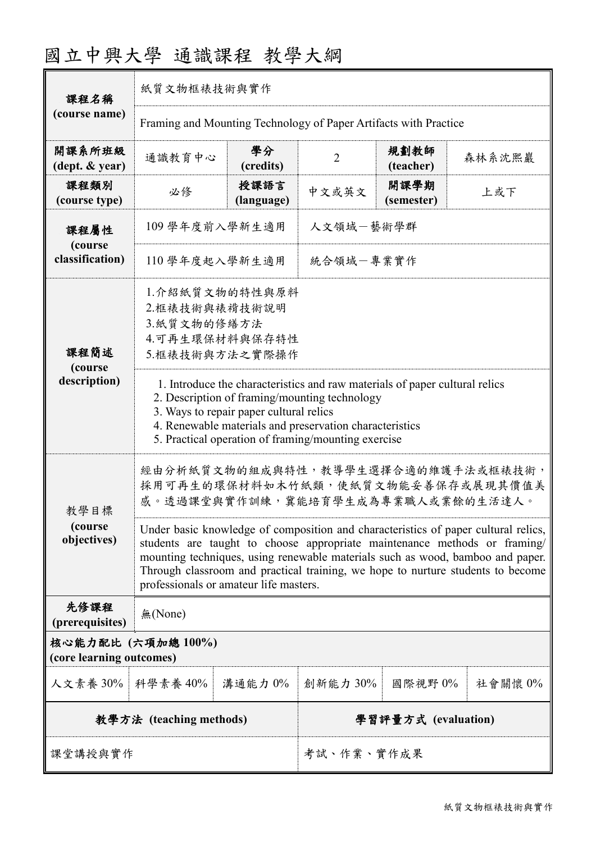| 國立中興大學 通識課程 教學大綱 |  |  |
|------------------|--|--|
|------------------|--|--|

| 課程名稱                                           | 紙質文物框裱技術與實作                                                                                                                                                                                                                                                                                                                                                                    |                     |                |                    |         |  |
|------------------------------------------------|--------------------------------------------------------------------------------------------------------------------------------------------------------------------------------------------------------------------------------------------------------------------------------------------------------------------------------------------------------------------------------|---------------------|----------------|--------------------|---------|--|
| (course name)                                  | Framing and Mounting Technology of Paper Artifacts with Practice                                                                                                                                                                                                                                                                                                               |                     |                |                    |         |  |
| 開課系所班級<br>$(\text{dept.} \& \text{ year})$     | 通識教育中心                                                                                                                                                                                                                                                                                                                                                                         | 學分<br>(credits)     | $\overline{2}$ | 規劃教師<br>(teacher)  | 森林系沈熙巖  |  |
| 課程類別<br>(course type)                          | 必修                                                                                                                                                                                                                                                                                                                                                                             | 授課語言<br>(language)  | 中文或英文          | 開課學期<br>(semester) | 上或下     |  |
| 課程屬性                                           | 109 學年度前入學新生適用                                                                                                                                                                                                                                                                                                                                                                 |                     | 人文領域一藝術學群      |                    |         |  |
| (course<br>classification)                     | 110 學年度起入學新生適用                                                                                                                                                                                                                                                                                                                                                                 |                     | 統合領域一專業實作      |                    |         |  |
| 課程簡述<br>(course                                | 1.介紹紙質文物的特性與原料<br>2.框裱技術與裱褙技術說明<br>3.紙質文物的修繕方法<br>4.可再生環保材料與保存特性<br>5.框裱技術與方法之實際操作                                                                                                                                                                                                                                                                                             |                     |                |                    |         |  |
| description)                                   | 1. Introduce the characteristics and raw materials of paper cultural relics<br>2. Description of framing/mounting technology<br>3. Ways to repair paper cultural relics<br>4. Renewable materials and preservation characteristics<br>5. Practical operation of framing/mounting exercise                                                                                      |                     |                |                    |         |  |
| 教學目標                                           | 經由分析紙質文物的組成與特性,教導學生選擇合適的維護手法或框裱技術,<br>採用可再生的環保材料如木竹紙類,使紙質文物能妥善保存或展現其價值美<br>感。透過課堂與實作訓練,冀能培育學生成為專業職人或業餘的生活達人。                                                                                                                                                                                                                                                                   |                     |                |                    |         |  |
| (course<br>objectives)                         | Under basic knowledge of composition and characteristics of paper cultural relics,<br>students are taught to choose appropriate maintenance methods or framing/<br>mounting techniques, using renewable materials such as wood, bamboo and paper.<br>Through classroom and practical training, we hope to nurture students to become<br>professionals or amateur life masters. |                     |                |                    |         |  |
| 先修課程<br>(prerequisites)                        | 無(None)                                                                                                                                                                                                                                                                                                                                                                        |                     |                |                    |         |  |
| 核心能力配比 (六項加總 100%)<br>(core learning outcomes) |                                                                                                                                                                                                                                                                                                                                                                                |                     |                |                    |         |  |
| 人文素養 30%   科學素養 40%                            |                                                                                                                                                                                                                                                                                                                                                                                | 溝通能力 0%             | 創新能力 30%       | 國際視野 0%            | 社會關懷 0% |  |
| 教學方法 (teaching methods)                        |                                                                                                                                                                                                                                                                                                                                                                                | 學習評量方式 (evaluation) |                |                    |         |  |
| 课堂講授與實作                                        |                                                                                                                                                                                                                                                                                                                                                                                | 考試、作業、實作成果          |                |                    |         |  |